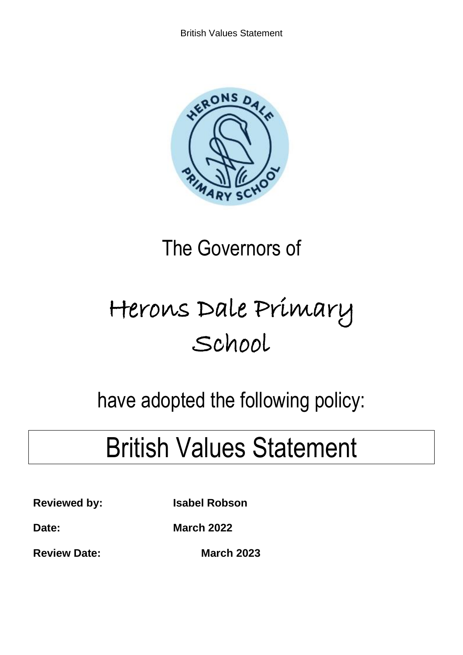

# The Governors of

# Herons Dale Primary School

# have adopted the following policy:

# British Values Statement

**Reviewed by: Isabel Robson**

**Date: March 2022**

**Review Date:** March 2023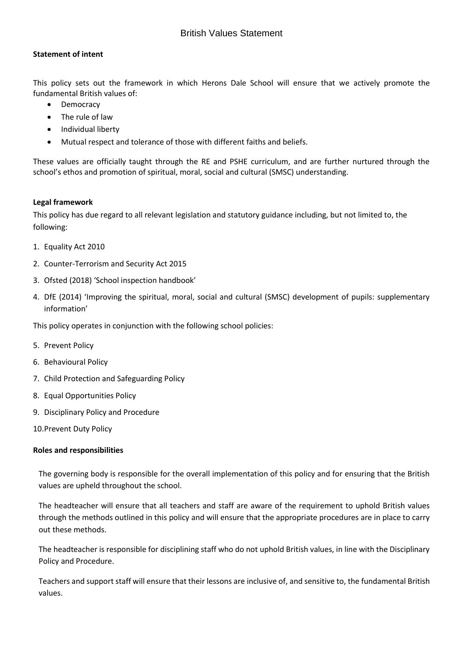#### **Statement of intent**

This policy sets out the framework in which Herons Dale School will ensure that we actively promote the fundamental British values of:

- **Democracy**
- The rule of law
- Individual liberty
- Mutual respect and tolerance of those with different faiths and beliefs.

These values are officially taught through the RE and PSHE curriculum, and are further nurtured through the school's ethos and promotion of spiritual, moral, social and cultural (SMSC) understanding.

#### **Legal framework**

This policy has due regard to all relevant legislation and statutory guidance including, but not limited to, the following:

- 1. Equality Act 2010
- 2. Counter-Terrorism and Security Act 2015
- 3. Ofsted (2018) 'School inspection handbook'
- 4. DfE (2014) 'Improving the spiritual, moral, social and cultural (SMSC) development of pupils: supplementary information'

This policy operates in conjunction with the following school policies:

- 5. Prevent Policy
- 6. Behavioural Policy
- 7. Child Protection and Safeguarding Policy
- 8. Equal Opportunities Policy
- 9. Disciplinary Policy and Procedure
- 10.Prevent Duty Policy

#### **Roles and responsibilities**

The governing body is responsible for the overall implementation of this policy and for ensuring that the British values are upheld throughout the school.

The headteacher will ensure that all teachers and staff are aware of the requirement to uphold British values through the methods outlined in this policy and will ensure that the appropriate procedures are in place to carry out these methods.

The headteacher is responsible for disciplining staff who do not uphold British values, in line with the Disciplinary Policy and Procedure.

Teachers and support staff will ensure that their lessons are inclusive of, and sensitive to, the fundamental British values.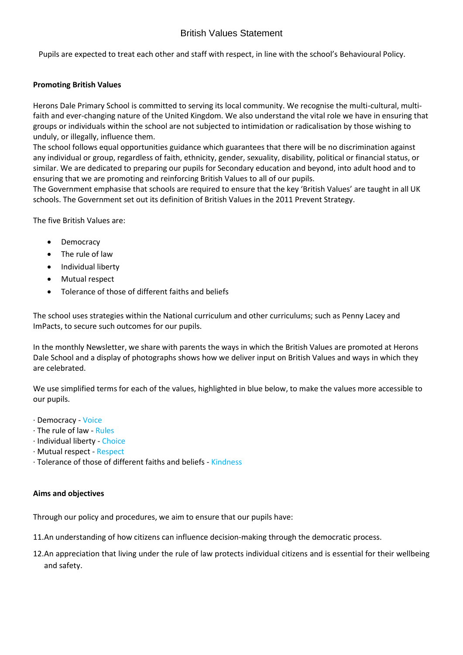Pupils are expected to treat each other and staff with respect, in line with the school's Behavioural Policy.

#### **Promoting British Values**

Herons Dale Primary School is committed to serving its local community. We recognise the multi-cultural, multifaith and ever-changing nature of the United Kingdom. We also understand the vital role we have in ensuring that groups or individuals within the school are not subjected to intimidation or radicalisation by those wishing to unduly, or illegally, influence them.

The school follows equal opportunities guidance which guarantees that there will be no discrimination against any individual or group, regardless of faith, ethnicity, gender, sexuality, disability, political or financial status, or similar. We are dedicated to preparing our pupils for Secondary education and beyond, into adult hood and to ensuring that we are promoting and reinforcing British Values to all of our pupils.

The Government emphasise that schools are required to ensure that the key 'British Values' are taught in all UK schools. The Government set out its definition of British Values in the 2011 Prevent Strategy.

The five British Values are:

- Democracy
- The rule of law
- Individual liberty
- Mutual respect
- Tolerance of those of different faiths and beliefs

The school uses strategies within the National curriculum and other curriculums; such as Penny Lacey and ImPacts, to secure such outcomes for our pupils.

In the monthly Newsletter, we share with parents the ways in which the British Values are promoted at Herons Dale School and a display of photographs shows how we deliver input on British Values and ways in which they are celebrated.

We use simplified terms for each of the values, highlighted in blue below, to make the values more accessible to our pupils.

- · Democracy Voice
- · The rule of law Rules
- · Individual liberty Choice
- · Mutual respect Respect
- · Tolerance of those of different faiths and beliefs Kindness

#### **Aims and objectives**

Through our policy and procedures, we aim to ensure that our pupils have:

11.An understanding of how citizens can influence decision-making through the democratic process.

12.An appreciation that living under the rule of law protects individual citizens and is essential for their wellbeing and safety.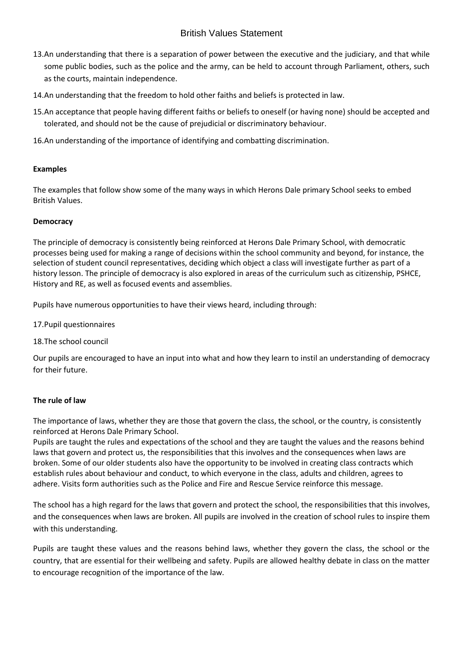- 13.An understanding that there is a separation of power between the executive and the judiciary, and that while some public bodies, such as the police and the army, can be held to account through Parliament, others, such as the courts, maintain independence.
- 14.An understanding that the freedom to hold other faiths and beliefs is protected in law.
- 15.An acceptance that people having different faiths or beliefs to oneself (or having none) should be accepted and tolerated, and should not be the cause of prejudicial or discriminatory behaviour.
- 16.An understanding of the importance of identifying and combatting discrimination.

#### **Examples**

The examples that follow show some of the many ways in which Herons Dale primary School seeks to embed British Values.

#### **Democracy**

The principle of democracy is consistently being reinforced at Herons Dale Primary School, with democratic processes being used for making a range of decisions within the school community and beyond, for instance, the selection of student council representatives, deciding which object a class will investigate further as part of a history lesson. The principle of democracy is also explored in areas of the curriculum such as citizenship, PSHCE, History and RE, as well as focused events and assemblies.

Pupils have numerous opportunities to have their views heard, including through:

- 17.Pupil questionnaires
- 18.The school council

Our pupils are encouraged to have an input into what and how they learn to instil an understanding of democracy for their future.

## **The rule of law**

The importance of laws, whether they are those that govern the class, the school, or the country, is consistently reinforced at Herons Dale Primary School.

Pupils are taught the rules and expectations of the school and they are taught the values and the reasons behind laws that govern and protect us, the responsibilities that this involves and the consequences when laws are broken. Some of our older students also have the opportunity to be involved in creating class contracts which establish rules about behaviour and conduct, to which everyone in the class, adults and children, agrees to adhere. Visits form authorities such as the Police and Fire and Rescue Service reinforce this message.

The school has a high regard for the laws that govern and protect the school, the responsibilities that this involves, and the consequences when laws are broken. All pupils are involved in the creation of school rules to inspire them with this understanding.

Pupils are taught these values and the reasons behind laws, whether they govern the class, the school or the country, that are essential for their wellbeing and safety. Pupils are allowed healthy debate in class on the matter to encourage recognition of the importance of the law.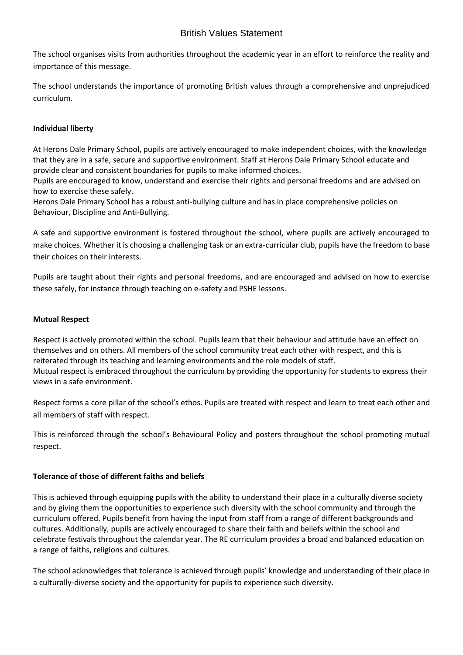The school organises visits from authorities throughout the academic year in an effort to reinforce the reality and importance of this message.

The school understands the importance of promoting British values through a comprehensive and unprejudiced curriculum.

# **Individual liberty**

At Herons Dale Primary School, pupils are actively encouraged to make independent choices, with the knowledge that they are in a safe, secure and supportive environment. Staff at Herons Dale Primary School educate and provide clear and consistent boundaries for pupils to make informed choices.

Pupils are encouraged to know, understand and exercise their rights and personal freedoms and are advised on how to exercise these safely.

Herons Dale Primary School has a robust anti-bullying culture and has in place comprehensive policies on Behaviour, Discipline and Anti-Bullying.

A safe and supportive environment is fostered throughout the school, where pupils are actively encouraged to make choices. Whether it is choosing a challenging task or an extra-curricular club, pupils have the freedom to base their choices on their interests.

Pupils are taught about their rights and personal freedoms, and are encouraged and advised on how to exercise these safely, for instance through teaching on e-safety and PSHE lessons.

## **Mutual Respect**

Respect is actively promoted within the school. Pupils learn that their behaviour and attitude have an effect on themselves and on others. All members of the school community treat each other with respect, and this is reiterated through its teaching and learning environments and the role models of staff. Mutual respect is embraced throughout the curriculum by providing the opportunity for students to express their views in a safe environment.

Respect forms a core pillar of the school's ethos. Pupils are treated with respect and learn to treat each other and all members of staff with respect.

This is reinforced through the school's Behavioural Policy and posters throughout the school promoting mutual respect.

## **Tolerance of those of different faiths and beliefs**

This is achieved through equipping pupils with the ability to understand their place in a culturally diverse society and by giving them the opportunities to experience such diversity with the school community and through the curriculum offered. Pupils benefit from having the input from staff from a range of different backgrounds and cultures. Additionally, pupils are actively encouraged to share their faith and beliefs within the school and celebrate festivals throughout the calendar year. The RE curriculum provides a broad and balanced education on a range of faiths, religions and cultures.

The school acknowledges that tolerance is achieved through pupils' knowledge and understanding of their place in a culturally-diverse society and the opportunity for pupils to experience such diversity.